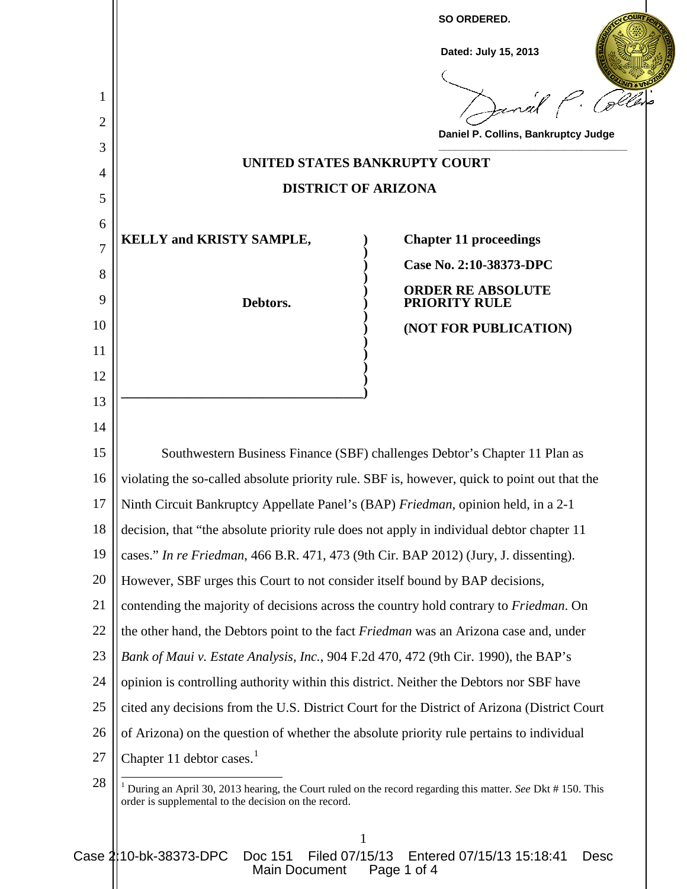

<span id="page-0-0"></span>Case 2:10-bk-38373-DPC Doc 151 Filed 07/15/13 Entered 07/15/13 15:18:41 Desc Main Document Page 1 of 4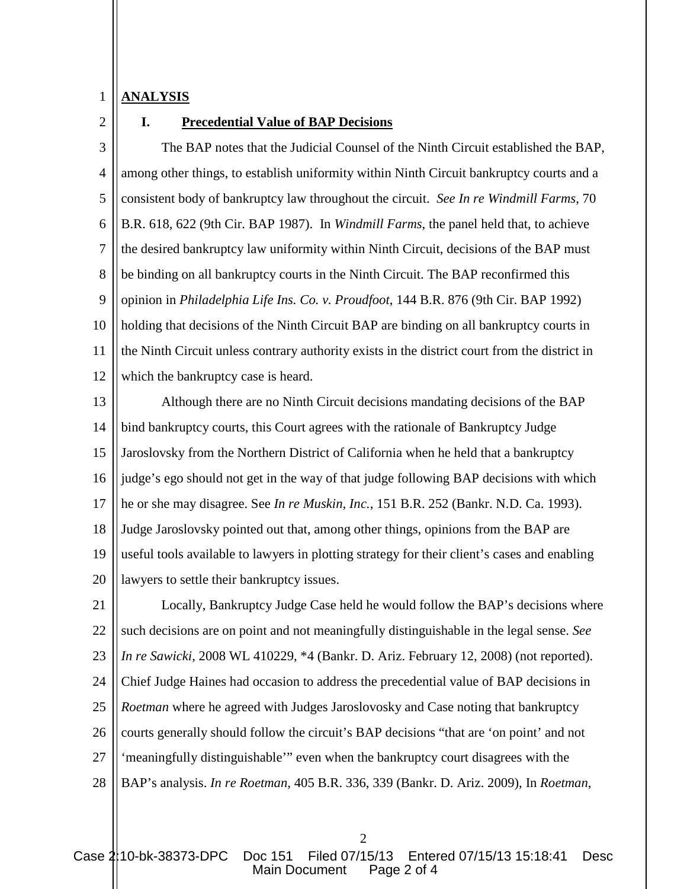## 1 **ANALYSIS**

 $\mathcal{D}_{\mathcal{L}}$ 

## **I. Precedential Value of BAP Decisions**

3 4 5 6 7 8 9 10 11 12 The BAP notes that the Judicial Counsel of the Ninth Circuit established the BAP, among other things, to establish uniformity within Ninth Circuit bankruptcy courts and a consistent body of bankruptcy law throughout the circuit. *See In re Windmill Farms*, 70 B.R. 618, 622 (9th Cir. BAP 1987). In *Windmill Farms*, the panel held that, to achieve the desired bankruptcy law uniformity within Ninth Circuit, decisions of the BAP must be binding on all bankruptcy courts in the Ninth Circuit. The BAP reconfirmed this opinion in *Philadelphia Life Ins. Co. v. Proudfoot*, 144 B.R. 876 (9th Cir. BAP 1992) holding that decisions of the Ninth Circuit BAP are binding on all bankruptcy courts in the Ninth Circuit unless contrary authority exists in the district court from the district in which the bankruptcy case is heard.

13 14 15 16 17 18 19 20 Although there are no Ninth Circuit decisions mandating decisions of the BAP bind bankruptcy courts, this Court agrees with the rationale of Bankruptcy Judge Jaroslovsky from the Northern District of California when he held that a bankruptcy judge's ego should not get in the way of that judge following BAP decisions with which he or she may disagree. See *In re Muskin, Inc.*, 151 B.R. 252 (Bankr. N.D. Ca. 1993). Judge Jaroslovsky pointed out that, among other things, opinions from the BAP are useful tools available to lawyers in plotting strategy for their client's cases and enabling lawyers to settle their bankruptcy issues.

21 22 23 24 25 26 27 28 Locally, Bankruptcy Judge Case held he would follow the BAP's decisions where such decisions are on point and not meaningfully distinguishable in the legal sense. *See In re Sawicki*, 2008 WL 410229, \*4 (Bankr. D. Ariz. February 12, 2008) (not reported). Chief Judge Haines had occasion to address the precedential value of BAP decisions in *Roetman* where he agreed with Judges Jaroslovosky and Case noting that bankruptcy courts generally should follow the circuit's BAP decisions "that are 'on point' and not 'meaningfully distinguishable'" even when the bankruptcy court disagrees with the BAP's analysis. *In re Roetman*, 405 B.R. 336, 339 (Bankr. D. Ariz. 2009), In *Roetman*,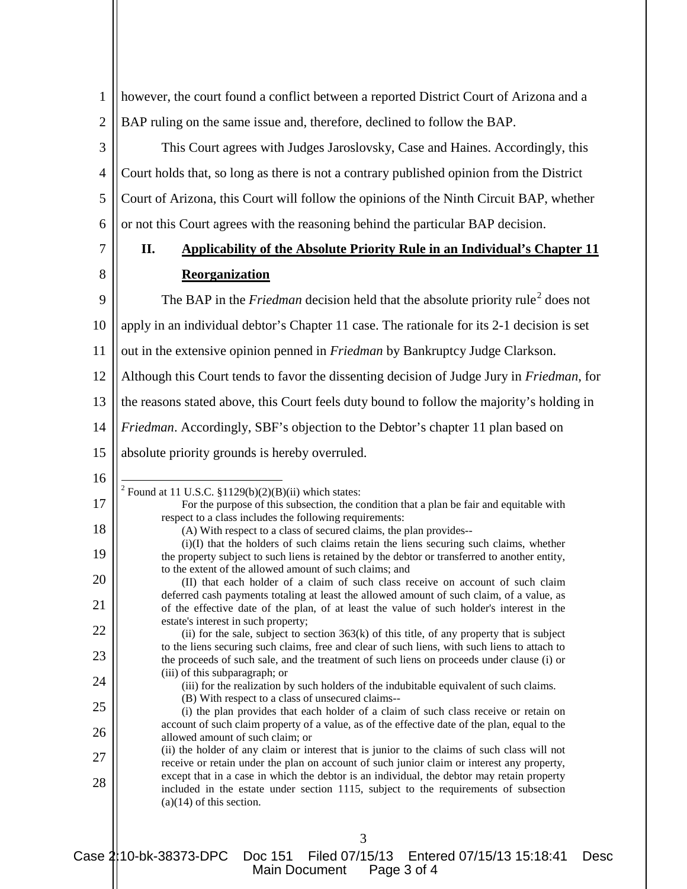1 2 however, the court found a conflict between a reported District Court of Arizona and a BAP ruling on the same issue and, therefore, declined to follow the BAP.

3 4 5 6 This Court agrees with Judges Jaroslovsky, Case and Haines. Accordingly, this Court holds that, so long as there is not a contrary published opinion from the District Court of Arizona, this Court will follow the opinions of the Ninth Circuit BAP, whether or not this Court agrees with the reasoning behind the particular BAP decision.

7 8

9

<span id="page-2-0"></span>16

17

18

19

20

21

22

23

24

25

26

27

28

## **II. Applicability of the Absolute Priority Rule in an Individual's Chapter 11 Reorganization**

The BAP in the *Friedman* decision held that the absolute priority rule<sup>[2](#page-2-0)</sup> does not

10 apply in an individual debtor's Chapter 11 case. The rationale for its 2-1 decision is set

11 out in the extensive opinion penned in *Friedman* by Bankruptcy Judge Clarkson.

12 Although this Court tends to favor the dissenting decision of Judge Jury in *Friedman*, for

13 the reasons stated above, this Court feels duty bound to follow the majority's holding in

14 *Friedman*. Accordingly, SBF's objection to the Debtor's chapter 11 plan based on

15 absolute priority grounds is hereby overruled.

<sup>2</sup> Found at 11 U.S.C. §1129(b)(2)(B)(ii) which states:

For the purpose of this subsection, the condition that a plan be fair and equitable with respect to a class includes the following requirements: (A) With respect to a class of secured claims, the plan provides--

(i)(I) that the holders of such claims retain the liens securing such claims, whether the property subject to such liens is retained by the debtor or transferred to another entity, to the extent of the allowed amount of such claims; and

(iii) for the realization by such holders of the indubitable equivalent of such claims.

- (B) With respect to a class of unsecured claims--
- (i) the plan provides that each holder of a claim of such class receive or retain on account of such claim property of a value, as of the effective date of the plan, equal to the allowed amount of such claim; or (ii) the holder of any claim or interest that is junior to the claims of such class will not

receive or retain under the plan on account of such junior claim or interest any property, except that in a case in which the debtor is an individual, the debtor may retain property included in the estate under section 1115, subject to the requirements of subsection  $(a)(14)$  of this section.

Case 2:10-bk-38373-DPC Doc 151 Filed 07/15/13 Entered 07/15/13 15:18:41 Desc Main Document Page 3 of 4

<sup>(</sup>II) that each holder of a claim of such class receive on account of such claim deferred cash payments totaling at least the allowed amount of such claim, of a value, as of the effective date of the plan, of at least the value of such holder's interest in the estate's interest in such property;

<sup>(</sup>ii) for the sale, subject to section  $363(k)$  of this title, of any property that is subject to the liens securing such claims, free and clear of such liens, with such liens to attach to the proceeds of such sale, and the treatment of such liens on proceeds under clause (i) or (iii) of this subparagraph; or